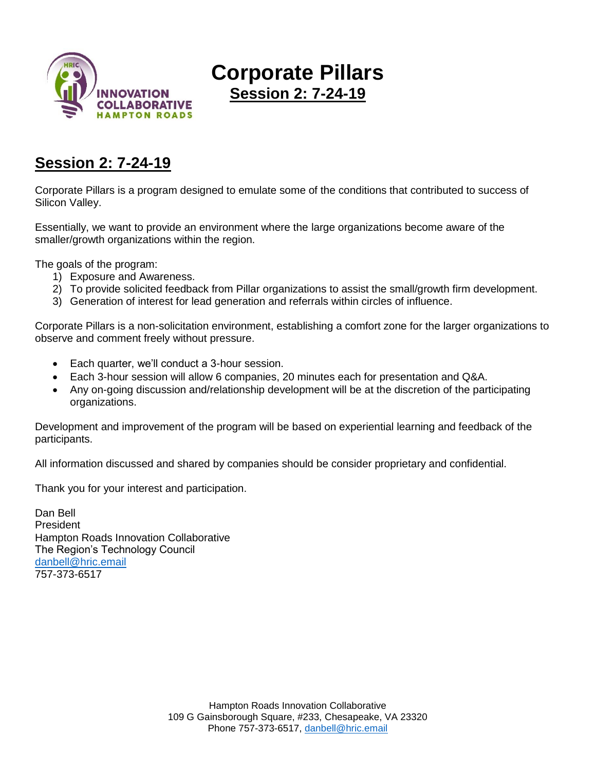

# **Corporate Pillars**

**Session 2: 7-24-19**

### **Session 2: 7-24-19**

Corporate Pillars is a program designed to emulate some of the conditions that contributed to success of Silicon Valley.

Essentially, we want to provide an environment where the large organizations become aware of the smaller/growth organizations within the region.

The goals of the program:

- 1) Exposure and Awareness.
- 2) To provide solicited feedback from Pillar organizations to assist the small/growth firm development.
- 3) Generation of interest for lead generation and referrals within circles of influence.

Corporate Pillars is a non-solicitation environment, establishing a comfort zone for the larger organizations to observe and comment freely without pressure.

- Each quarter, we'll conduct a 3-hour session.
- Each 3-hour session will allow 6 companies, 20 minutes each for presentation and Q&A.
- Any on-going discussion and/relationship development will be at the discretion of the participating organizations.

Development and improvement of the program will be based on experiential learning and feedback of the participants.

All information discussed and shared by companies should be consider proprietary and confidential.

Thank you for your interest and participation.

Dan Bell President Hampton Roads Innovation Collaborative The Region's Technology Council [danbell@hric.email](mailto:danbell@hric.email) 757-373-6517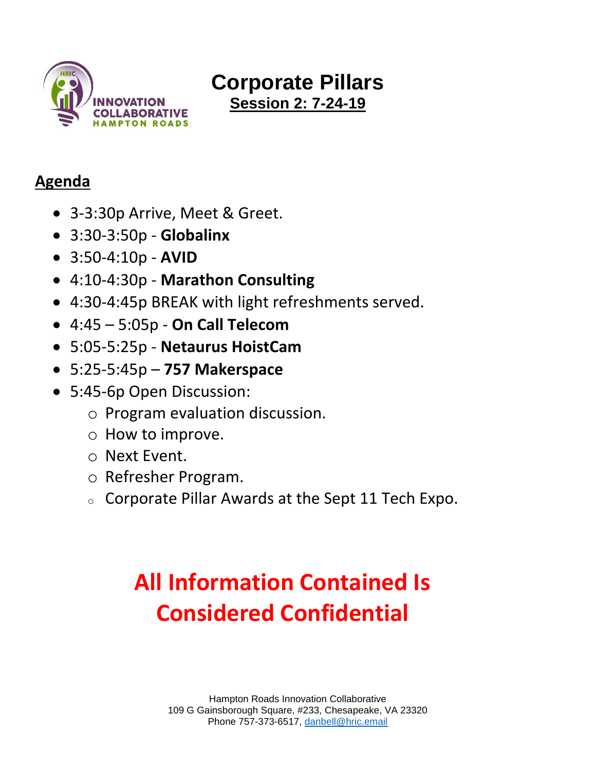

# **Corporate Pillars Session 2: 7-24-19**

### **Agenda**

- 3-3:30p Arrive, Meet & Greet.
- 3:30-3:50p **Globalinx**
- 3:50-4:10p **AVID**
- 4:10-4:30p **Marathon Consulting**
- 4:30-4:45p BREAK with light refreshments served.
- 4:45 5:05p **On Call Telecom**
- 5:05-5:25p **Netaurus HoistCam**
- 5:25-5:45p **757 Makerspace**
- 5:45-6p Open Discussion:
	- o Program evaluation discussion.
	- o How to improve.
	- o Next Event.
	- o Refresher Program.
	- <sup>o</sup> Corporate Pillar Awards at the Sept 11 Tech Expo.

# **All Information Contained Is Considered Confidential**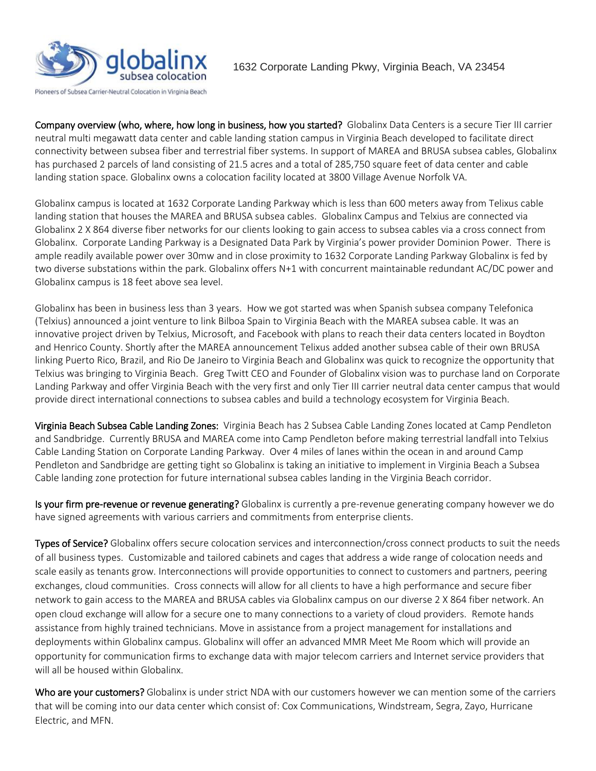

Company overview (who, where, how long in business, how you started? Globalinx Data Centers is a secure Tier III carrier neutral multi megawatt data center and cable landing station campus in Virginia Beach developed to facilitate direct connectivity between subsea fiber and terrestrial fiber systems. In support of MAREA and BRUSA subsea cables, Globalinx has purchased 2 parcels of land consisting of 21.5 acres and a total of 285,750 square feet of data center and cable landing station space. Globalinx owns a colocation facility located at 3800 Village Avenue Norfolk VA.

Globalinx campus is located at 1632 Corporate Landing Parkway which is less than 600 meters away from Telixus cable landing station that houses the MAREA and BRUSA subsea cables. Globalinx Campus and Telxius are connected via Globalinx 2 X 864 diverse fiber networks for our clients looking to gain access to subsea cables via a cross connect from Globalinx. Corporate Landing Parkway is a Designated Data Park by Virginia's power provider Dominion Power. There is ample readily available power over 30mw and in close proximity to 1632 Corporate Landing Parkway Globalinx is fed by two diverse substations within the park. Globalinx offers N+1 with concurrent maintainable redundant AC/DC power and Globalinx campus is 18 feet above sea level.

Globalinx has been in business less than 3 years. How we got started was when Spanish subsea company Telefonica (Telxius) announced a joint venture to link Bilboa Spain to Virginia Beach with the MAREA subsea cable. It was an innovative project driven by Telxius, Microsoft, and Facebook with plans to reach their data centers located in Boydton and Henrico County. Shortly after the MAREA announcement Telixus added another subsea cable of their own BRUSA linking Puerto Rico, Brazil, and Rio De Janeiro to Virginia Beach and Globalinx was quick to recognize the opportunity that Telxius was bringing to Virginia Beach. Greg Twitt CEO and Founder of Globalinx vision was to purchase land on Corporate Landing Parkway and offer Virginia Beach with the very first and only Tier III carrier neutral data center campus that would provide direct international connections to subsea cables and build a technology ecosystem for Virginia Beach.

Virginia Beach Subsea Cable Landing Zones: Virginia Beach has 2 Subsea Cable Landing Zones located at Camp Pendleton and Sandbridge. Currently BRUSA and MAREA come into Camp Pendleton before making terrestrial landfall into Telxius Cable Landing Station on Corporate Landing Parkway. Over 4 miles of lanes within the ocean in and around Camp Pendleton and Sandbridge are getting tight so Globalinx is taking an initiative to implement in Virginia Beach a Subsea Cable landing zone protection for future international subsea cables landing in the Virginia Beach corridor.

Is your firm pre-revenue or revenue generating? Globalinx is currently a pre-revenue generating company however we do have signed agreements with various carriers and commitments from enterprise clients.

Types of Service? Globalinx offers secure colocation services and interconnection/cross connect products to suit the needs of all business types. Customizable and tailored cabinets and cages that address a wide range of colocation needs and scale easily as tenants grow. Interconnections will provide opportunities to connect to customers and partners, peering exchanges, cloud communities. Cross connects will allow for all clients to have a high performance and secure fiber network to gain access to the MAREA and BRUSA cables via Globalinx campus on our diverse 2 X 864 fiber network. An open cloud exchange will allow for a secure one to many connections to a variety of cloud providers. Remote hands assistance from highly trained technicians. Move in assistance from a project management for installations and deployments within Globalinx campus. Globalinx will offer an advanced MMR Meet Me Room which will provide an opportunity for communication firms to exchange data with major telecom carriers and Internet service providers that will all be housed within Globalinx.

Who are your customers? Globalinx is under strict NDA with our customers however we can mention some of the carriers that will be coming into our data center which consist of: Cox Communications, Windstream, Segra, Zayo, Hurricane Electric, and MFN.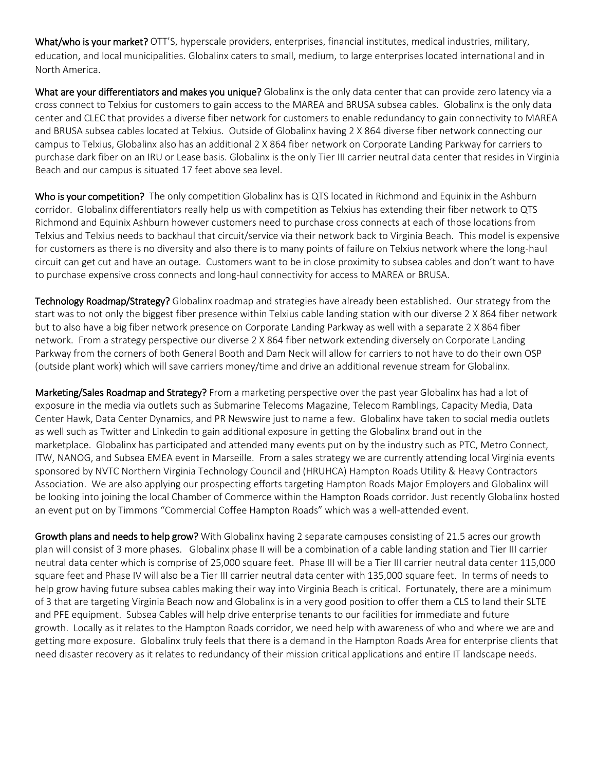What/who is your market? OTT'S, hyperscale providers, enterprises, financial institutes, medical industries, military, education, and local municipalities. Globalinx caters to small, medium, to large enterprises located international and in North America.

What are your differentiators and makes you unique? Globalinx is the only data center that can provide zero latency via a cross connect to Telxius for customers to gain access to the MAREA and BRUSA subsea cables. Globalinx is the only data center and CLEC that provides a diverse fiber network for customers to enable redundancy to gain connectivity to MAREA and BRUSA subsea cables located at Telxius. Outside of Globalinx having 2 X 864 diverse fiber network connecting our campus to Telxius, Globalinx also has an additional 2 X 864 fiber network on Corporate Landing Parkway for carriers to purchase dark fiber on an IRU or Lease basis. Globalinx is the only Tier III carrier neutral data center that resides in Virginia Beach and our campus is situated 17 feet above sea level.

Who is your competition? The only competition Globalinx has is QTS located in Richmond and Equinix in the Ashburn corridor. Globalinx differentiators really help us with competition as Telxius has extending their fiber network to QTS Richmond and Equinix Ashburn however customers need to purchase cross connects at each of those locations from Telxius and Telxius needs to backhaul that circuit/service via their network back to Virginia Beach. This model is expensive for customers as there is no diversity and also there is to many points of failure on Telxius network where the long-haul circuit can get cut and have an outage. Customers want to be in close proximity to subsea cables and don't want to have to purchase expensive cross connects and long-haul connectivity for access to MAREA or BRUSA.

Technology Roadmap/Strategy? Globalinx roadmap and strategies have already been established. Our strategy from the start was to not only the biggest fiber presence within Telxius cable landing station with our diverse 2 X 864 fiber network but to also have a big fiber network presence on Corporate Landing Parkway as well with a separate 2 X 864 fiber network. From a strategy perspective our diverse 2 X 864 fiber network extending diversely on Corporate Landing Parkway from the corners of both General Booth and Dam Neck will allow for carriers to not have to do their own OSP (outside plant work) which will save carriers money/time and drive an additional revenue stream for Globalinx.

Marketing/Sales Roadmap and Strategy? From a marketing perspective over the past year Globalinx has had a lot of exposure in the media via outlets such as Submarine Telecoms Magazine, Telecom Ramblings, Capacity Media, Data Center Hawk, Data Center Dynamics, and PR Newswire just to name a few. Globalinx have taken to social media outlets as well such as Twitter and Linkedin to gain additional exposure in getting the Globalinx brand out in the marketplace. Globalinx has participated and attended many events put on by the industry such as PTC, Metro Connect, ITW, NANOG, and Subsea EMEA event in Marseille. From a sales strategy we are currently attending local Virginia events sponsored by NVTC Northern Virginia Technology Council and (HRUHCA) Hampton Roads Utility & Heavy Contractors Association. We are also applying our prospecting efforts targeting Hampton Roads Major Employers and Globalinx will be looking into joining the local Chamber of Commerce within the Hampton Roads corridor. Just recently Globalinx hosted an event put on by Timmons "Commercial Coffee Hampton Roads" which was a well-attended event.

Growth plans and needs to help grow? With Globalinx having 2 separate campuses consisting of 21.5 acres our growth plan will consist of 3 more phases. Globalinx phase II will be a combination of a cable landing station and Tier III carrier neutral data center which is comprise of 25,000 square feet. Phase III will be a Tier III carrier neutral data center 115,000 square feet and Phase IV will also be a Tier III carrier neutral data center with 135,000 square feet. In terms of needs to help grow having future subsea cables making their way into Virginia Beach is critical. Fortunately, there are a minimum of 3 that are targeting Virginia Beach now and Globalinx is in a very good position to offer them a CLS to land their SLTE and PFE equipment. Subsea Cables will help drive enterprise tenants to our facilities for immediate and future growth. Locally as it relates to the Hampton Roads corridor, we need help with awareness of who and where we are and getting more exposure. Globalinx truly feels that there is a demand in the Hampton Roads Area for enterprise clients that need disaster recovery as it relates to redundancy of their mission critical applications and entire IT landscape needs.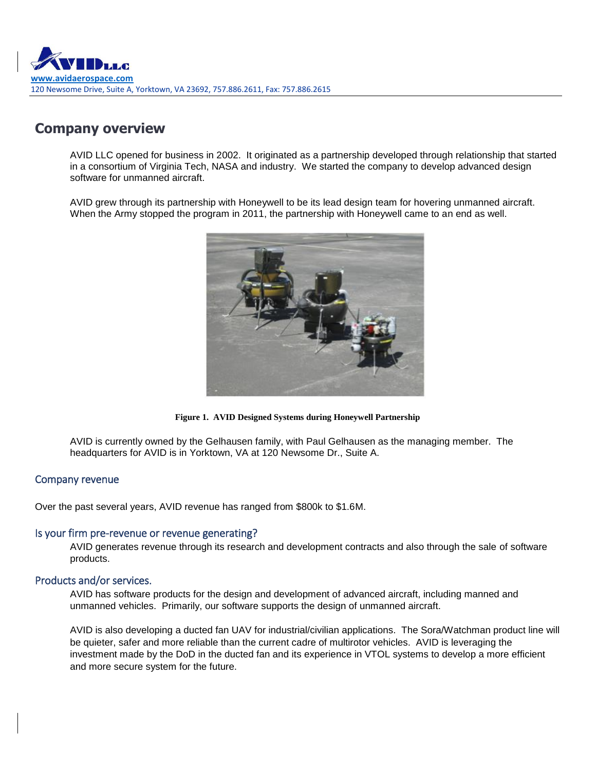

### **Company overview**

AVID LLC opened for business in 2002. It originated as a partnership developed through relationship that started in a consortium of Virginia Tech, NASA and industry. We started the company to develop advanced design software for unmanned aircraft.

AVID grew through its partnership with Honeywell to be its lead design team for hovering unmanned aircraft. When the Army stopped the program in 2011, the partnership with Honeywell came to an end as well.



**Figure 1. AVID Designed Systems during Honeywell Partnership**

AVID is currently owned by the Gelhausen family, with Paul Gelhausen as the managing member. The headquarters for AVID is in Yorktown, VA at 120 Newsome Dr., Suite A.

#### Company revenue

Over the past several years, AVID revenue has ranged from \$800k to \$1.6M.

#### Is your firm pre-revenue or revenue generating?

AVID generates revenue through its research and development contracts and also through the sale of software products.

### Products and/or services.

AVID has software products for the design and development of advanced aircraft, including manned and unmanned vehicles. Primarily, our software supports the design of unmanned aircraft.

AVID is also developing a ducted fan UAV for industrial/civilian applications. The Sora/Watchman product line will be quieter, safer and more reliable than the current cadre of multirotor vehicles. AVID is leveraging the investment made by the DoD in the ducted fan and its experience in VTOL systems to develop a more efficient and more secure system for the future.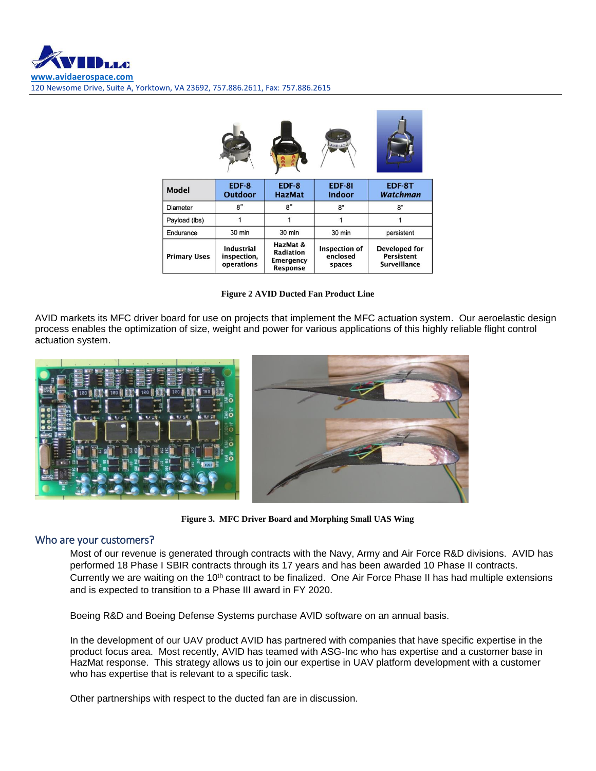|                     |                                                |                                                              | AVID LLC                            |                                                           |
|---------------------|------------------------------------------------|--------------------------------------------------------------|-------------------------------------|-----------------------------------------------------------|
| <b>Model</b>        | EDF-8<br><b>Outdoor</b>                        | EDF-8<br><b>HazMat</b>                                       | <b>EDF-81</b><br><b>Indoor</b>      | EDF-8T<br>Watchman                                        |
| Diameter            | 8"                                             | 8"                                                           | 8"                                  | 8"                                                        |
| Payload (lbs)       |                                                |                                                              |                                     |                                                           |
| Endurance           | 30 min                                         | 30 min                                                       | 30 min                              | persistent                                                |
| <b>Primary Uses</b> | <b>Industrial</b><br>inspection,<br>operations | HazMat &<br>Radiation<br><b>Emergency</b><br><b>Response</b> | Inspection of<br>enclosed<br>spaces | Developed for<br><b>Persistent</b><br><b>Surveillance</b> |

|  |  |  | <b>Figure 2 AVID Ducted Fan Product Line</b> |  |
|--|--|--|----------------------------------------------|--|

AVID markets its MFC driver board for use on projects that implement the MFC actuation system. Our aeroelastic design process enables the optimization of size, weight and power for various applications of this highly reliable flight control actuation system.



**Figure 3. MFC Driver Board and Morphing Small UAS Wing**

#### Who are your customers?

Most of our revenue is generated through contracts with the Navy, Army and Air Force R&D divisions. AVID has performed 18 Phase I SBIR contracts through its 17 years and has been awarded 10 Phase II contracts. Currently we are waiting on the 10<sup>th</sup> contract to be finalized. One Air Force Phase II has had multiple extensions and is expected to transition to a Phase III award in FY 2020.

Boeing R&D and Boeing Defense Systems purchase AVID software on an annual basis.

In the development of our UAV product AVID has partnered with companies that have specific expertise in the product focus area. Most recently, AVID has teamed with ASG-Inc who has expertise and a customer base in HazMat response. This strategy allows us to join our expertise in UAV platform development with a customer who has expertise that is relevant to a specific task.

Other partnerships with respect to the ducted fan are in discussion.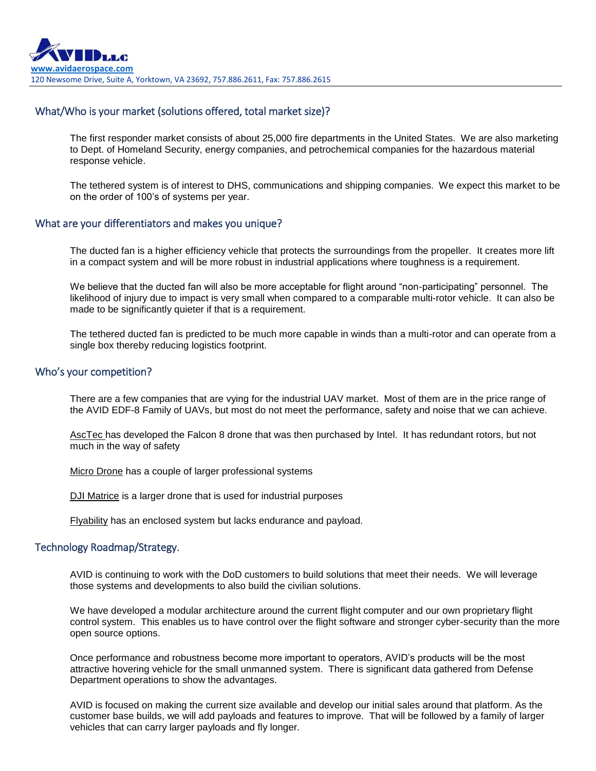### What/Who is your market (solutions offered, total market size)?

The first responder market consists of about 25,000 fire departments in the United States. We are also marketing to Dept. of Homeland Security, energy companies, and petrochemical companies for the hazardous material response vehicle.

The tethered system is of interest to DHS, communications and shipping companies. We expect this market to be on the order of 100's of systems per year.

#### What are your differentiators and makes you unique?

The ducted fan is a higher efficiency vehicle that protects the surroundings from the propeller. It creates more lift in a compact system and will be more robust in industrial applications where toughness is a requirement.

We believe that the ducted fan will also be more acceptable for flight around "non-participating" personnel. The likelihood of injury due to impact is very small when compared to a comparable multi-rotor vehicle. It can also be made to be significantly quieter if that is a requirement.

The tethered ducted fan is predicted to be much more capable in winds than a multi-rotor and can operate from a single box thereby reducing logistics footprint.

#### Who's your competition?

There are a few companies that are vying for the industrial UAV market. Most of them are in the price range of the AVID EDF-8 Family of UAVs, but most do not meet the performance, safety and noise that we can achieve.

AscTec has developed the Falcon 8 drone that was then purchased by Intel. It has redundant rotors, but not much in the way of safety

Micro Drone has a couple of larger professional systems

DJI Matrice is a larger drone that is used for industrial purposes

Flyability has an enclosed system but lacks endurance and payload.

#### Technology Roadmap/Strategy.

AVID is continuing to work with the DoD customers to build solutions that meet their needs. We will leverage those systems and developments to also build the civilian solutions.

We have developed a modular architecture around the current flight computer and our own proprietary flight control system. This enables us to have control over the flight software and stronger cyber-security than the more open source options.

Once performance and robustness become more important to operators, AVID's products will be the most attractive hovering vehicle for the small unmanned system. There is significant data gathered from Defense Department operations to show the advantages.

AVID is focused on making the current size available and develop our initial sales around that platform. As the customer base builds, we will add payloads and features to improve. That will be followed by a family of larger vehicles that can carry larger payloads and fly longer.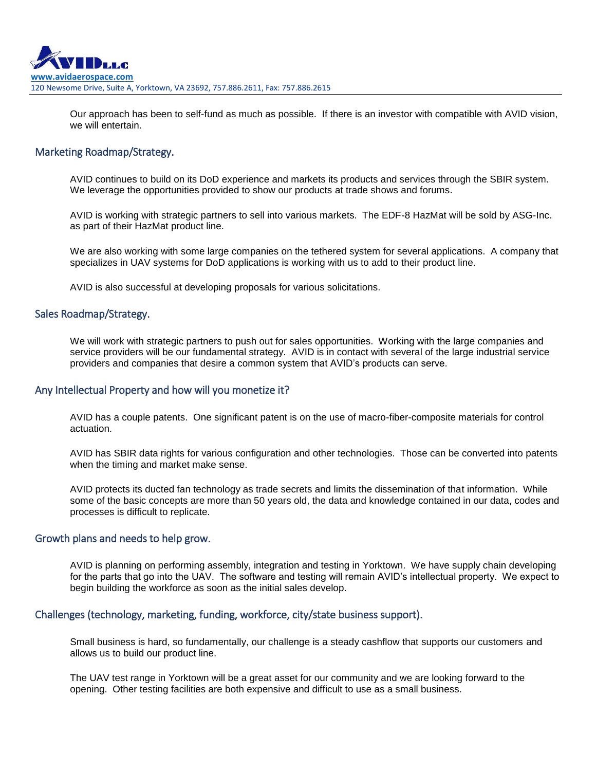

Our approach has been to self-fund as much as possible. If there is an investor with compatible with AVID vision, we will entertain.

#### Marketing Roadmap/Strategy.

AVID continues to build on its DoD experience and markets its products and services through the SBIR system. We leverage the opportunities provided to show our products at trade shows and forums.

AVID is working with strategic partners to sell into various markets. The EDF-8 HazMat will be sold by ASG-Inc. as part of their HazMat product line.

We are also working with some large companies on the tethered system for several applications. A company that specializes in UAV systems for DoD applications is working with us to add to their product line.

AVID is also successful at developing proposals for various solicitations.

#### Sales Roadmap/Strategy.

We will work with strategic partners to push out for sales opportunities. Working with the large companies and service providers will be our fundamental strategy. AVID is in contact with several of the large industrial service providers and companies that desire a common system that AVID's products can serve.

#### Any Intellectual Property and how will you monetize it?

AVID has a couple patents. One significant patent is on the use of macro-fiber-composite materials for control actuation.

AVID has SBIR data rights for various configuration and other technologies. Those can be converted into patents when the timing and market make sense.

AVID protects its ducted fan technology as trade secrets and limits the dissemination of that information. While some of the basic concepts are more than 50 years old, the data and knowledge contained in our data, codes and processes is difficult to replicate.

#### Growth plans and needs to help grow.

AVID is planning on performing assembly, integration and testing in Yorktown. We have supply chain developing for the parts that go into the UAV. The software and testing will remain AVID's intellectual property. We expect to begin building the workforce as soon as the initial sales develop.

#### Challenges (technology, marketing, funding, workforce, city/state business support).

Small business is hard, so fundamentally, our challenge is a steady cashflow that supports our customers and allows us to build our product line.

The UAV test range in Yorktown will be a great asset for our community and we are looking forward to the opening. Other testing facilities are both expensive and difficult to use as a small business.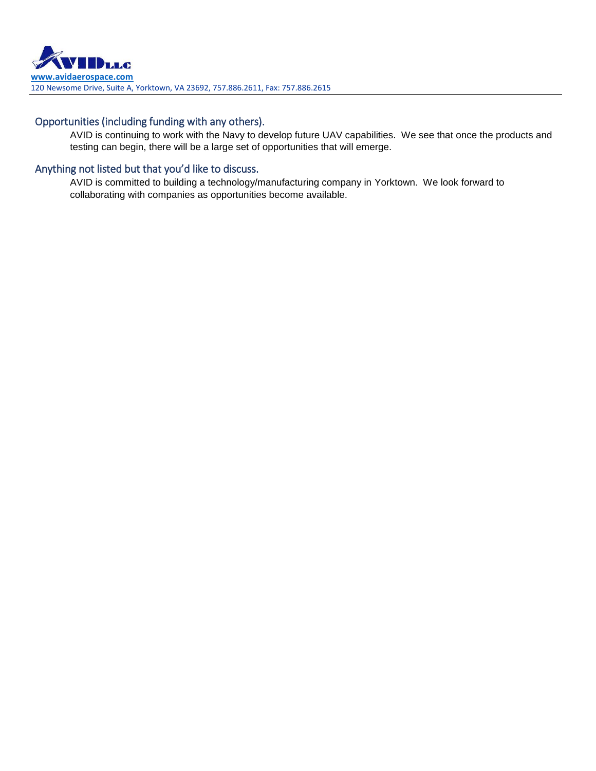### Opportunities (including funding with any others).

AVID is continuing to work with the Navy to develop future UAV capabilities. We see that once the products and testing can begin, there will be a large set of opportunities that will emerge.

### Anything not listed but that you'd like to discuss.

AVID is committed to building a technology/manufacturing company in Yorktown. We look forward to collaborating with companies as opportunities become available.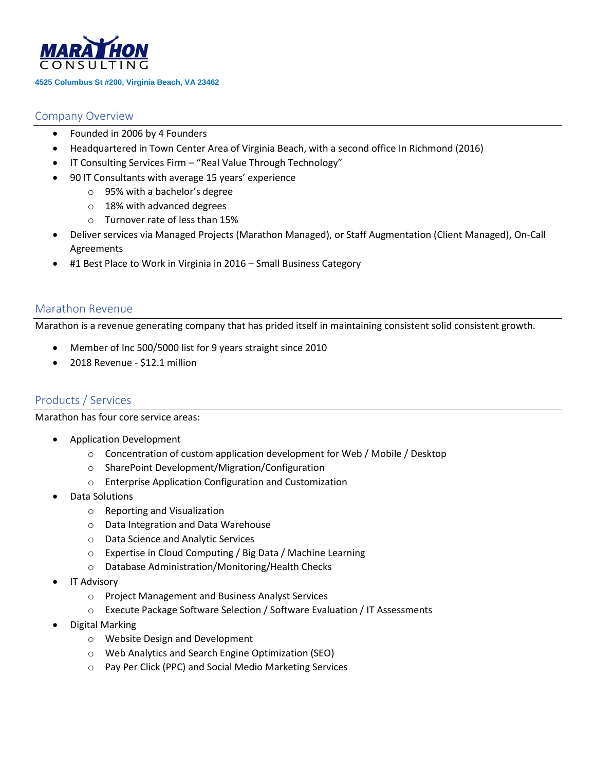

#### **4525 Columbus St #200, Virginia Beach, VA 23462**

### Company Overview

- Founded in 2006 by 4 Founders
- Headquartered in Town Center Area of Virginia Beach, with a second office In Richmond (2016)
- IT Consulting Services Firm "Real Value Through Technology"
- 90 IT Consultants with average 15 years' experience
	- o 95% with a bachelor's degree
	- o 18% with advanced degrees
	- o Turnover rate of less than 15%
- Deliver services via Managed Projects (Marathon Managed), or Staff Augmentation (Client Managed), On-Call Agreements
- #1 Best Place to Work in Virginia in 2016 Small Business Category

### Marathon Revenue

Marathon is a revenue generating company that has prided itself in maintaining consistent solid consistent growth.

- Member of Inc 500/5000 list for 9 years straight since 2010
- 2018 Revenue \$12.1 million

### Products / Services

Marathon has four core service areas:

- Application Development
	- o Concentration of custom application development for Web / Mobile / Desktop
	- o SharePoint Development/Migration/Configuration
	- o Enterprise Application Configuration and Customization
- Data Solutions
	- o Reporting and Visualization
	- o Data Integration and Data Warehouse
	- o Data Science and Analytic Services
	- o Expertise in Cloud Computing / Big Data / Machine Learning
	- o Database Administration/Monitoring/Health Checks
- IT Advisory
	- o Project Management and Business Analyst Services
	- o Execute Package Software Selection / Software Evaluation / IT Assessments
- Digital Marking
	- o Website Design and Development
	- o Web Analytics and Search Engine Optimization (SEO)
	- o Pay Per Click (PPC) and Social Medio Marketing Services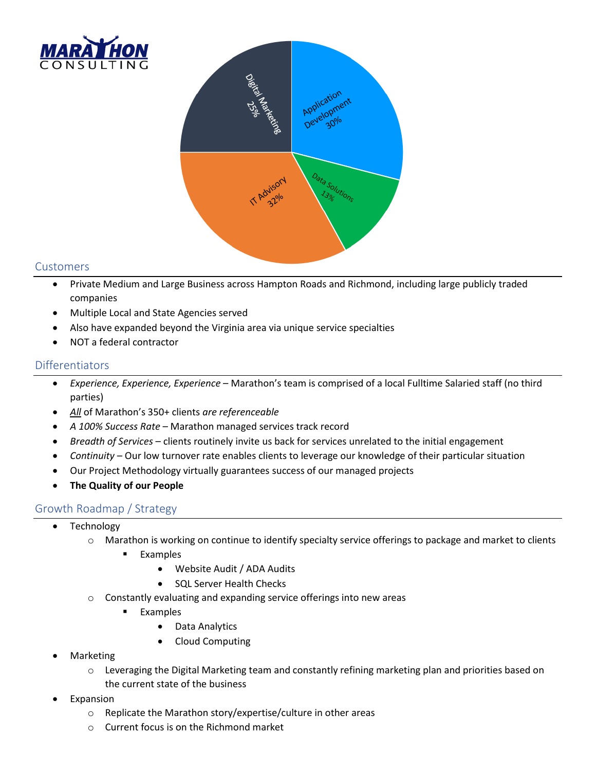



### Customers

- Private Medium and Large Business across Hampton Roads and Richmond, including large publicly traded companies
- Multiple Local and State Agencies served
- Also have expanded beyond the Virginia area via unique service specialties
- NOT a federal contractor

### **Differentiators**

- *Experience, Experience, Experience*  Marathon's team is comprised of a local Fulltime Salaried staff (no third parties)
- *All* of Marathon's 350+ clients *are referenceable*
- *A 100% Success Rate*  Marathon managed services track record
- *Breadth of Services*  clients routinely invite us back for services unrelated to the initial engagement
- *Continuity* Our low turnover rate enables clients to leverage our knowledge of their particular situation
- Our Project Methodology virtually guarantees success of our managed projects
- **The Quality of our People**

### Growth Roadmap / Strategy

- Technology
	- o Marathon is working on continue to identify specialty service offerings to package and market to clients
		- Examples
			- Website Audit / ADA Audits
			- SQL Server Health Checks
	- $\circ$  Constantly evaluating and expanding service offerings into new areas
		- **Examples** 
			- Data Analytics
			- Cloud Computing
- Marketing
	- $\circ$  Leveraging the Digital Marketing team and constantly refining marketing plan and priorities based on the current state of the business
- **Expansion** 
	- o Replicate the Marathon story/expertise/culture in other areas
	- o Current focus is on the Richmond market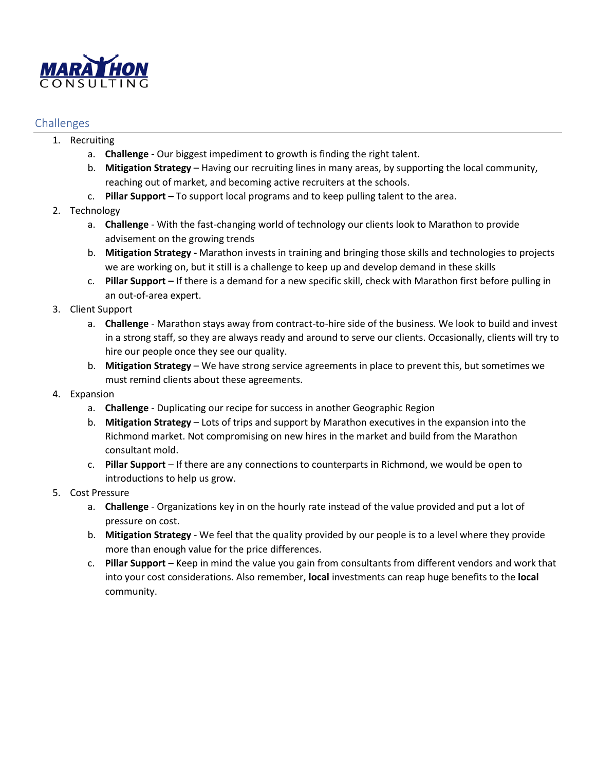

### Challenges

- 1. Recruiting
	- a. **Challenge -** Our biggest impediment to growth is finding the right talent.
	- b. **Mitigation Strategy**  Having our recruiting lines in many areas, by supporting the local community, reaching out of market, and becoming active recruiters at the schools.
	- c. **Pillar Support –** To support local programs and to keep pulling talent to the area.
- 2. Technology
	- a. **Challenge** With the fast-changing world of technology our clients look to Marathon to provide advisement on the growing trends
	- b. **Mitigation Strategy -** Marathon invests in training and bringing those skills and technologies to projects we are working on, but it still is a challenge to keep up and develop demand in these skills
	- c. **Pillar Support –** If there is a demand for a new specific skill, check with Marathon first before pulling in an out-of-area expert.
- 3. Client Support
	- a. **Challenge** Marathon stays away from contract-to-hire side of the business. We look to build and invest in a strong staff, so they are always ready and around to serve our clients. Occasionally, clients will try to hire our people once they see our quality.
	- b. **Mitigation Strategy**  We have strong service agreements in place to prevent this, but sometimes we must remind clients about these agreements.
- 4. Expansion
	- a. **Challenge** Duplicating our recipe for success in another Geographic Region
	- b. **Mitigation Strategy**  Lots of trips and support by Marathon executives in the expansion into the Richmond market. Not compromising on new hires in the market and build from the Marathon consultant mold.
	- c. **Pillar Support** If there are any connections to counterparts in Richmond, we would be open to introductions to help us grow.
- 5. Cost Pressure
	- a. **Challenge** Organizations key in on the hourly rate instead of the value provided and put a lot of pressure on cost.
	- b. **Mitigation Strategy** We feel that the quality provided by our people is to a level where they provide more than enough value for the price differences.
	- c. **Pillar Support** Keep in mind the value you gain from consultants from different vendors and work that into your cost considerations. Also remember, **local** investments can reap huge benefits to the **local** community.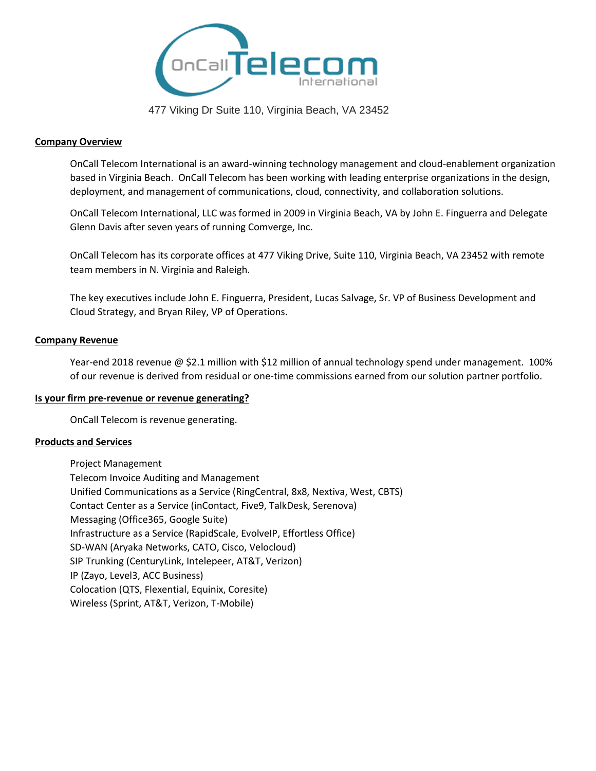

477 Viking Dr Suite 110, Virginia Beach, VA 23452

#### **Company Overview**

OnCall Telecom International is an award-winning technology management and cloud-enablement organization based in Virginia Beach. OnCall Telecom has been working with leading enterprise organizations in the design, deployment, and management of communications, cloud, connectivity, and collaboration solutions.

OnCall Telecom International, LLC was formed in 2009 in Virginia Beach, VA by John E. Finguerra and Delegate Glenn Davis after seven years of running Comverge, Inc.

OnCall Telecom has its corporate offices at 477 Viking Drive, Suite 110, Virginia Beach, VA 23452 with remote team members in N. Virginia and Raleigh.

The key executives include John E. Finguerra, President, Lucas Salvage, Sr. VP of Business Development and Cloud Strategy, and Bryan Riley, VP of Operations.

#### **Company Revenue**

Year-end 2018 revenue @ \$2.1 million with \$12 million of annual technology spend under management. 100% of our revenue is derived from residual or one-time commissions earned from our solution partner portfolio.

#### **Is your firm pre-revenue or revenue generating?**

OnCall Telecom is revenue generating.

#### **Products and Services**

Project Management Telecom Invoice Auditing and Management Unified Communications as a Service (RingCentral, 8x8, Nextiva, West, CBTS) Contact Center as a Service (inContact, Five9, TalkDesk, Serenova) Messaging (Office365, Google Suite) Infrastructure as a Service (RapidScale, EvolveIP, Effortless Office) SD-WAN (Aryaka Networks, CATO, Cisco, Velocloud) SIP Trunking (CenturyLink, Intelepeer, AT&T, Verizon) IP (Zayo, Level3, ACC Business) Colocation (QTS, Flexential, Equinix, Coresite) Wireless (Sprint, AT&T, Verizon, T-Mobile)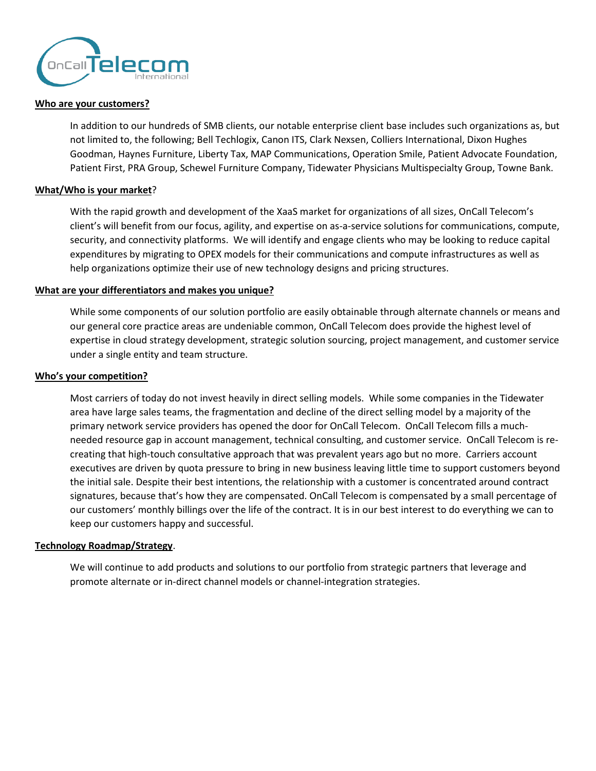

#### **Who are your customers?**

In addition to our hundreds of SMB clients, our notable enterprise client base includes such organizations as, but not limited to, the following; Bell Techlogix, Canon ITS, Clark Nexsen, Colliers International, Dixon Hughes Goodman, Haynes Furniture, Liberty Tax, MAP Communications, Operation Smile, Patient Advocate Foundation, Patient First, PRA Group, Schewel Furniture Company, Tidewater Physicians Multispecialty Group, Towne Bank.

#### **What/Who is your market**?

With the rapid growth and development of the XaaS market for organizations of all sizes, OnCall Telecom's client's will benefit from our focus, agility, and expertise on as-a-service solutions for communications, compute, security, and connectivity platforms. We will identify and engage clients who may be looking to reduce capital expenditures by migrating to OPEX models for their communications and compute infrastructures as well as help organizations optimize their use of new technology designs and pricing structures.

#### **What are your differentiators and makes you unique?**

While some components of our solution portfolio are easily obtainable through alternate channels or means and our general core practice areas are undeniable common, OnCall Telecom does provide the highest level of expertise in cloud strategy development, strategic solution sourcing, project management, and customer service under a single entity and team structure.

#### **Who's your competition?**

Most carriers of today do not invest heavily in direct selling models. While some companies in the Tidewater area have large sales teams, the fragmentation and decline of the direct selling model by a majority of the primary network service providers has opened the door for OnCall Telecom. OnCall Telecom fills a muchneeded resource gap in account management, technical consulting, and customer service. OnCall Telecom is recreating that high-touch consultative approach that was prevalent years ago but no more. Carriers account executives are driven by quota pressure to bring in new business leaving little time to support customers beyond the initial sale. Despite their best intentions, the relationship with a customer is concentrated around contract signatures, because that's how they are compensated. OnCall Telecom is compensated by a small percentage of our customers' monthly billings over the life of the contract. It is in our best interest to do everything we can to keep our customers happy and successful.

#### **Technology Roadmap/Strategy**.

We will continue to add products and solutions to our portfolio from strategic partners that leverage and promote alternate or in-direct channel models or channel-integration strategies.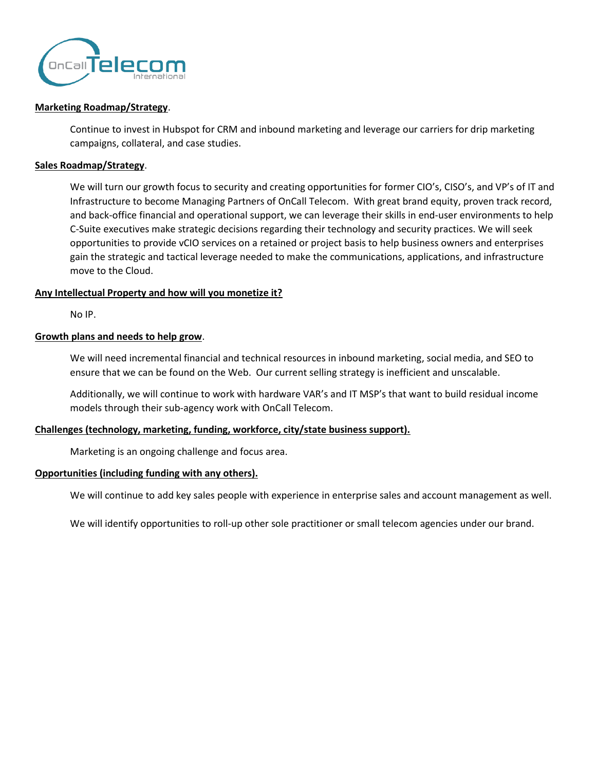

#### **Marketing Roadmap/Strategy**.

Continue to invest in Hubspot for CRM and inbound marketing and leverage our carriers for drip marketing campaigns, collateral, and case studies.

#### **Sales Roadmap/Strategy**.

We will turn our growth focus to security and creating opportunities for former CIO's, CISO's, and VP's of IT and Infrastructure to become Managing Partners of OnCall Telecom. With great brand equity, proven track record, and back-office financial and operational support, we can leverage their skills in end-user environments to help C-Suite executives make strategic decisions regarding their technology and security practices. We will seek opportunities to provide vCIO services on a retained or project basis to help business owners and enterprises gain the strategic and tactical leverage needed to make the communications, applications, and infrastructure move to the Cloud.

#### **Any Intellectual Property and how will you monetize it?**

No IP.

#### **Growth plans and needs to help grow**.

We will need incremental financial and technical resources in inbound marketing, social media, and SEO to ensure that we can be found on the Web. Our current selling strategy is inefficient and unscalable.

Additionally, we will continue to work with hardware VAR's and IT MSP's that want to build residual income models through their sub-agency work with OnCall Telecom.

#### **Challenges (technology, marketing, funding, workforce, city/state business support).**

Marketing is an ongoing challenge and focus area.

#### **Opportunities (including funding with any others).**

We will continue to add key sales people with experience in enterprise sales and account management as well.

We will identify opportunities to roll-up other sole practitioner or small telecom agencies under our brand.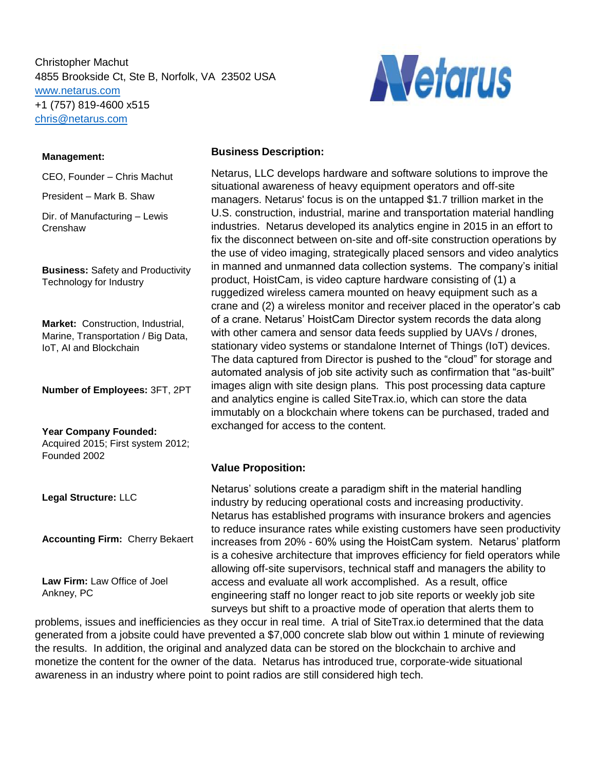Christopher Machut 4855 Brookside Ct, Ste B, Norfolk, VA 23502 USA [www.netarus.com](http://www.netarus.com/) +1 (757) 819-4600 x515 [chris@netarus.com](mailto:chris@netarus.com)



#### **Management:**

CEO, Founder – Chris Machut

President – Mark B. Shaw

Dir. of Manufacturing – Lewis **Crenshaw** 

**Business:** Safety and Productivity Technology for Industry

**Market:** Construction, Industrial, Marine, Transportation / Big Data, IoT, AI and Blockchain

**Number of Employees:** 3FT, 2PT

**Year Company Founded:**  Acquired 2015; First system 2012; Founded 2002

**Legal Structure:** LLC

**Accounting Firm:** Cherry Bekaert

**Law Firm:** Law Office of Joel Ankney, PC

#### **Business Description:**

Netarus, LLC develops hardware and software solutions to improve the situational awareness of heavy equipment operators and off-site managers. Netarus' focus is on the untapped \$1.7 trillion market in the U.S. construction, industrial, marine and transportation material handling industries. Netarus developed its analytics engine in 2015 in an effort to fix the disconnect between on-site and off-site construction operations by the use of video imaging, strategically placed sensors and video analytics in manned and unmanned data collection systems. The company's initial product, HoistCam, is video capture hardware consisting of (1) a ruggedized wireless camera mounted on heavy equipment such as a crane and (2) a wireless monitor and receiver placed in the operator's cab of a crane. Netarus' HoistCam Director system records the data along with other camera and sensor data feeds supplied by UAVs / drones, stationary video systems or standalone Internet of Things (IoT) devices. The data captured from Director is pushed to the "cloud" for storage and automated analysis of job site activity such as confirmation that "as-built" images align with site design plans. This post processing data capture and analytics engine is called SiteTrax.io, which can store the data immutably on a blockchain where tokens can be purchased, traded and exchanged for access to the content.

#### **Value Proposition:**

Netarus' solutions create a paradigm shift in the material handling industry by reducing operational costs and increasing productivity. Netarus has established programs with insurance brokers and agencies to reduce insurance rates while existing customers have seen productivity increases from 20% - 60% using the HoistCam system. Netarus' platform is a cohesive architecture that improves efficiency for field operators while allowing off-site supervisors, technical staff and managers the ability to access and evaluate all work accomplished. As a result, office engineering staff no longer react to job site reports or weekly job site surveys but shift to a proactive mode of operation that alerts them to

problems, issues and inefficiencies as they occur in real time. A trial of SiteTrax.io determined that the data generated from a jobsite could have prevented a \$7,000 concrete slab blow out within 1 minute of reviewing the results. In addition, the original and analyzed data can be stored on the blockchain to archive and are recente. In detailer, the original and analyzed data can be stored on the bicotenain to dreinve and monetize the content for the owner of the data. Netarus has introduced true, corporate-wide situational awareness in an industry where point to point radios are still considered high tech. **CALC**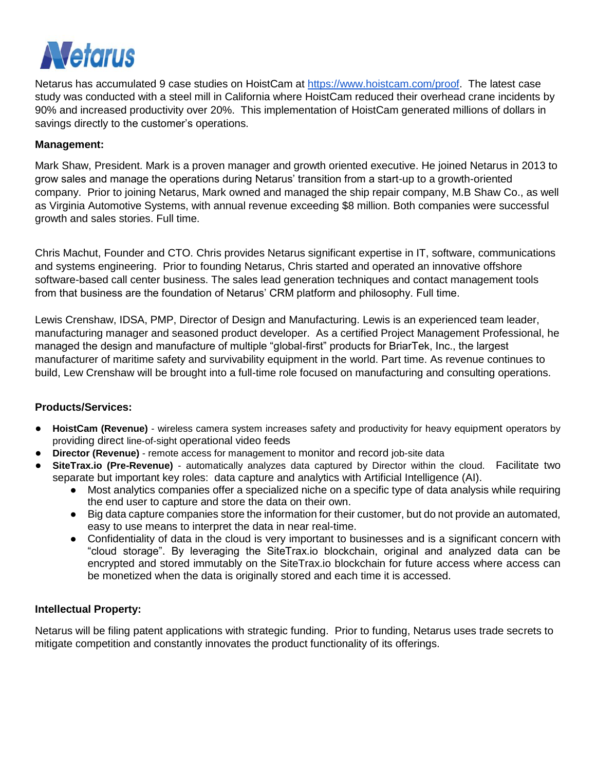

Netarus has accumulated 9 case studies on HoistCam at [https://www.hoistcam.com/proof.](https://www.hoistcam.com/proof) The latest case study was conducted with a steel mill in California where HoistCam reduced their overhead crane incidents by 90% and increased productivity over 20%. This implementation of HoistCam generated millions of dollars in savings directly to the customer's operations.

### **Management:**

Mark Shaw, President. Mark is a proven manager and growth oriented executive. He joined Netarus in 2013 to grow sales and manage the operations during Netarus' transition from a start-up to a growth-oriented company. Prior to joining Netarus, Mark owned and managed the ship repair company, M.B Shaw Co., as well as Virginia Automotive Systems, with annual revenue exceeding \$8 million. Both companies were successful growth and sales stories. Full time.

Chris Machut, Founder and CTO. Chris provides Netarus significant expertise in IT, software, communications and systems engineering. Prior to founding Netarus, Chris started and operated an innovative offshore software-based call center business. The sales lead generation techniques and contact management tools from that business are the foundation of Netarus' CRM platform and philosophy. Full time.

Lewis Crenshaw, IDSA, PMP, Director of Design and Manufacturing. Lewis is an experienced team leader, manufacturing manager and seasoned product developer. As a certified Project Management Professional, he managed the design and manufacture of multiple "global-first" products for BriarTek, Inc., the largest manufacturer of maritime safety and survivability equipment in the world. Part time. As revenue continues to build, Lew Crenshaw will be brought into a full-time role focused on manufacturing and consulting operations.

#### **Products/Services:**

- **HoistCam (Revenue)** wireless camera system increases safety and productivity for heavy equipment operators by providing direct line-of-sight operational video feeds
- **Director (Revenue)** remote access for management to monitor and record job-site data
- **SiteTrax.io (Pre-Revenue)** automatically analyzes data captured by Director within the cloud. Facilitate two separate but important key roles: data capture and analytics with Artificial Intelligence (AI).
	- Most analytics companies offer a specialized niche on a specific type of data analysis while requiring the end user to capture and store the data on their own.
	- Big data capture companies store the information for their customer, but do not provide an automated, easy to use means to interpret the data in near real-time.
	- Confidentiality of data in the cloud is very important to businesses and is a significant concern with "cloud storage". By leveraging the SiteTrax.io blockchain, original and analyzed data can be encrypted and stored immutably on the SiteTrax.io blockchain for future access where access can be monetized when the data is originally stored and each time it is accessed.

#### **Intellectual Property:**

Netarus will be filing patent applications with strategic funding. Prior to funding, Netarus uses trade secrets to mitigate competition and constantly innovates the product functionality of its offerings.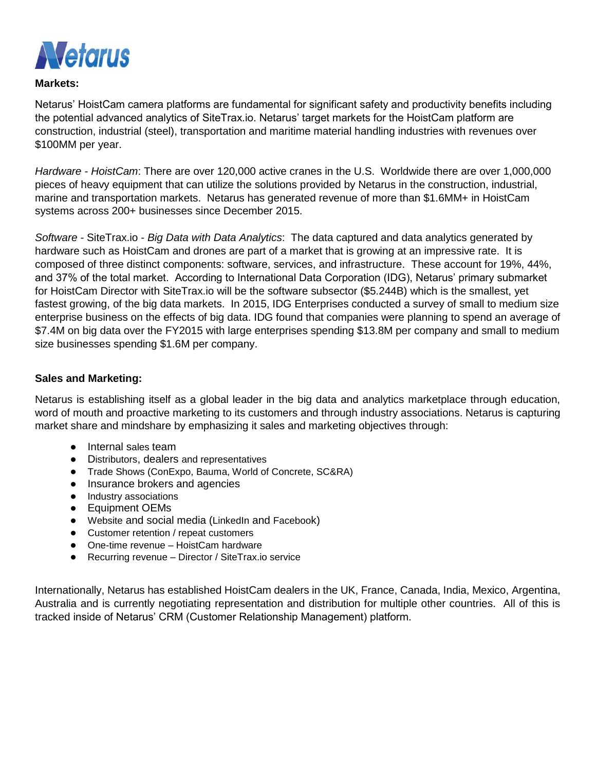

### **Markets:**

Netarus' HoistCam camera platforms are fundamental for significant safety and productivity benefits including the potential advanced analytics of SiteTrax.io. Netarus' target markets for the HoistCam platform are construction, industrial (steel), transportation and maritime material handling industries with revenues over \$100MM per year.

*Hardware - HoistCam*: There are over 120,000 active cranes in the U.S. Worldwide there are over 1,000,000 pieces of heavy equipment that can utilize the solutions provided by Netarus in the construction, industrial, marine and transportation markets. Netarus has generated revenue of more than \$1.6MM+ in HoistCam systems across 200+ businesses since December 2015.

*Software -* SiteTrax.io - *Big Data with Data Analytics*: The data captured and data analytics generated by hardware such as HoistCam and drones are part of a market that is growing at an impressive rate. It is composed of three distinct components: software, services, and infrastructure. These account for 19%, 44%, and 37% of the total market. According to International Data Corporation (IDG), Netarus' primary submarket for HoistCam Director with SiteTrax.io will be the software subsector (\$5.244B) which is the smallest, yet fastest growing, of the big data markets. In 2015, IDG Enterprises conducted a survey of small to medium size enterprise business on the effects of big data. IDG found that companies were planning to spend an average of \$7.4M on big data over the FY2015 with large enterprises spending \$13.8M per company and small to medium size businesses spending \$1.6M per company.

### **Sales and Marketing:**

Netarus is establishing itself as a global leader in the big data and analytics marketplace through education, word of mouth and proactive marketing to its customers and through industry associations. Netarus is capturing market share and mindshare by emphasizing it sales and marketing objectives through:

- Internal sales team
- Distributors, dealers and representatives
- Trade Shows (ConExpo, Bauma, World of Concrete, SC&RA)
- Insurance brokers and agencies
- Industry associations
- Equipment OEMs
- Website and social media (LinkedIn and Facebook)
- Customer retention / repeat customers
- One-time revenue HoistCam hardware
- Recurring revenue Director / SiteTrax.io service

Internationally, Netarus has established HoistCam dealers in the UK, France, Canada, India, Mexico, Argentina, Australia and is currently negotiating representation and distribution for multiple other countries. All of this is tracked inside of Netarus' CRM (Customer Relationship Management) platform.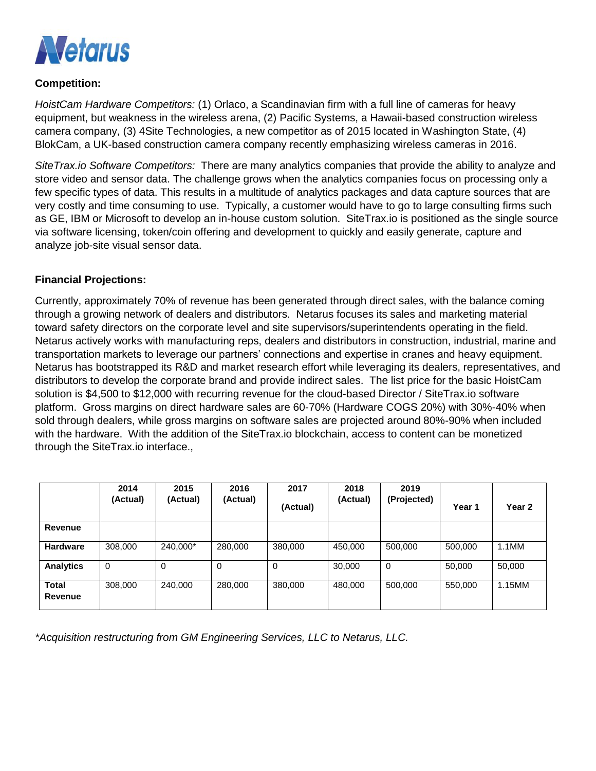

### **Competition:**

*HoistCam Hardware Competitors:* (1) Orlaco, a Scandinavian firm with a full line of cameras for heavy equipment, but weakness in the wireless arena, (2) Pacific Systems, a Hawaii-based construction wireless camera company, (3) 4Site Technologies, a new competitor as of 2015 located in Washington State, (4) BlokCam, a UK-based construction camera company recently emphasizing wireless cameras in 2016.

*SiteTrax.io Software Competitors:* There are many analytics companies that provide the ability to analyze and store video and sensor data. The challenge grows when the analytics companies focus on processing only a few specific types of data. This results in a multitude of analytics packages and data capture sources that are very costly and time consuming to use. Typically, a customer would have to go to large consulting firms such as GE, IBM or Microsoft to develop an in-house custom solution. SiteTrax.io is positioned as the single source via software licensing, token/coin offering and development to quickly and easily generate, capture and analyze job-site visual sensor data.

### **Financial Projections:**

Currently, approximately 70% of revenue has been generated through direct sales, with the balance coming through a growing network of dealers and distributors. Netarus focuses its sales and marketing material toward safety directors on the corporate level and site supervisors/superintendents operating in the field. Netarus actively works with manufacturing reps, dealers and distributors in construction, industrial, marine and transportation markets to leverage our partners' connections and expertise in cranes and heavy equipment. Netarus has bootstrapped its R&D and market research effort while leveraging its dealers, representatives, and distributors to develop the corporate brand and provide indirect sales. The list price for the basic HoistCam solution is \$4,500 to \$12,000 with recurring revenue for the cloud-based Director / SiteTrax.io software platform. Gross margins on direct hardware sales are 60-70% (Hardware COGS 20%) with 30%-40% when sold through dealers, while gross margins on software sales are projected around 80%-90% when included with the hardware. With the addition of the SiteTrax.io blockchain, access to content can be monetized through the SiteTrax.io interface.,

|                         | 2014<br>(Actual) | 2015<br>(Actual) | 2016<br>(Actual) | 2017<br>(Actual) | 2018<br>(Actual) | 2019<br>(Projected) | Year 1  | Year 2   |
|-------------------------|------------------|------------------|------------------|------------------|------------------|---------------------|---------|----------|
| Revenue                 |                  |                  |                  |                  |                  |                     |         |          |
| <b>Hardware</b>         | 308,000          | 240,000*         | 280,000          | 380,000          | 450.000          | 500,000             | 500,000 | $1.1$ MM |
| <b>Analytics</b>        | 0                | 0                | 0                | $\Omega$         | 30,000           | 0                   | 50,000  | 50,000   |
| <b>Total</b><br>Revenue | 308,000          | 240,000          | 280,000          | 380,000          | 480.000          | 500,000             | 550,000 | 1.15MM   |

*\*Acquisition restructuring from GM Engineering Services, LLC to Netarus, LLC.*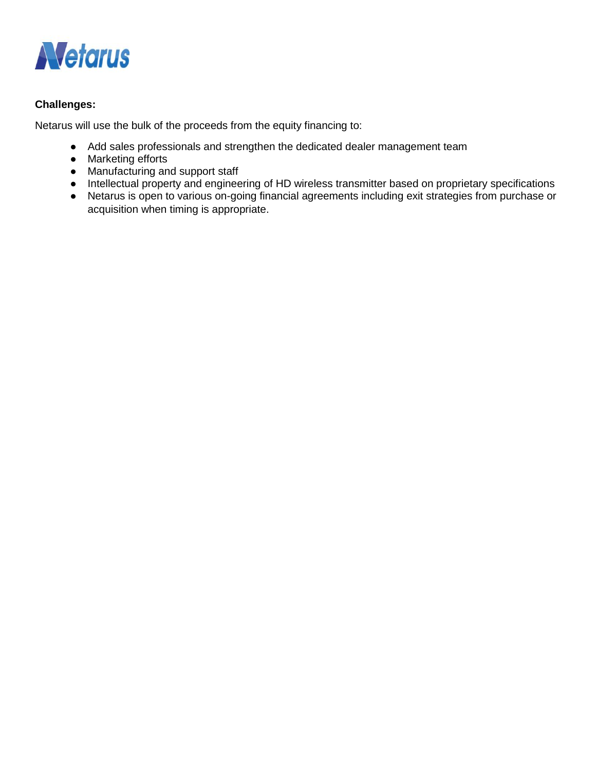

### **Challenges:**

Netarus will use the bulk of the proceeds from the equity financing to:

- Add sales professionals and strengthen the dedicated dealer management team
- Marketing efforts
- Manufacturing and support staff
- Intellectual property and engineering of HD wireless transmitter based on proprietary specifications
- Netarus is open to various on-going financial agreements including exit strategies from purchase or acquisition when timing is appropriate.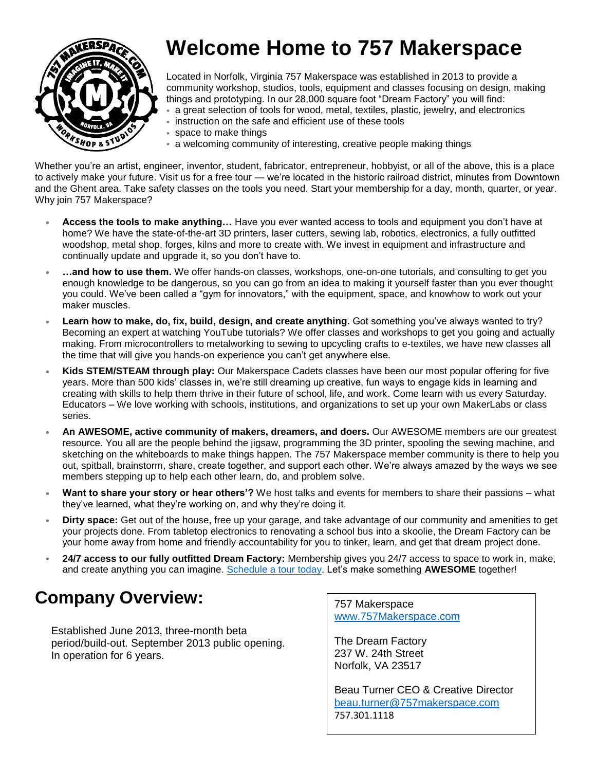

# **Welcome Home to 757 Makerspace**

Located in Norfolk, Virginia 757 Makerspace was established in 2013 to provide a community workshop, studios, tools, equipment and classes focusing on design, making things and prototyping. In our 28,000 square foot "Dream Factory" you will find:

- a great selection of tools for wood, metal, textiles, plastic, jewelry, and electronics
- instruction on the safe and efficient use of these tools
- space to make things
- a welcoming community of interesting, creative people making things

Whether you're an artist, engineer, inventor, student, fabricator, entrepreneur, hobbyist, or all of the above, this is a place to actively make your future. Visit us for a free tour — we're located in the historic railroad district, minutes from Downtown and the Ghent area. Take safety classes on the tools you need. Start your membership for a day, month, quarter, or year. Why join 757 Makerspace?

- **• Access the tools to make anything…** Have you ever wanted access to tools and equipment you don't have at home? We have the state-of-the-art 3D printers, laser cutters, sewing lab, robotics, electronics, a fully outfitted woodshop, metal shop, forges, kilns and more to create with. We invest in equipment and infrastructure and continually update and upgrade it, so you don't have to.
- **• …and how to use them.** We offer hands-on classes, workshops, one-on-one tutorials, and consulting to get you enough knowledge to be dangerous, so you can go from an idea to making it yourself faster than you ever thought you could. We've been called a "gym for innovators," with the equipment, space, and knowhow to work out your maker muscles.
- **• Learn how to make, do, fix, build, design, and create anything.** Got something you've always wanted to try? Becoming an expert at watching YouTube tutorials? We offer classes and workshops to get you going and actually making. From microcontrollers to metalworking to sewing to upcycling crafts to e-textiles, we have new classes all the time that will give you hands-on experience you can't get anywhere else.
- **• Kids STEM/STEAM through play:** Our Makerspace Cadets classes have been our most popular offering for five years. More than 500 kids' classes in, we're still dreaming up creative, fun ways to engage kids in learning and creating with skills to help them thrive in their future of school, life, and work. Come learn with us every Saturday. Educators – We love working with schools, institutions, and organizations to set up your own MakerLabs or class series.
- **• An AWESOME, active community of makers, dreamers, and doers.** Our AWESOME members are our greatest resource. You all are the people behind the jigsaw, programming the 3D printer, spooling the sewing machine, and sketching on the whiteboards to make things happen. The 757 Makerspace member community is there to help you out, spitball, brainstorm, share, create together, and support each other. We're always amazed by the ways we see members stepping up to help each other learn, do, and problem solve.
- **• Want to share your story or hear others'?** We host talks and events for members to share their passions what they've learned, what they're working on, and why they're doing it.
- **• Dirty space:** Get out of the house, free up your garage, and take advantage of our community and amenities to get your projects done. From tabletop electronics to renovating a school bus into a skoolie, the Dream Factory can be your home away from home and friendly accountability for you to tinker, learn, and get that dream project done.
- **• 24/7 access to our fully outfitted Dream Factory:** Membership gives you 24/7 access to space to work in, make, and create anything you can imagine. [Schedule a tour today.](http://www.757makerspace.com/hours-and-tours/) Let's make something **AWESOME** together!

# **Company Overview:** 757 Makerspace

Established June 2013, three-month beta period/build-out. September 2013 public opening. In operation for 6 years.

[www.757Makerspace.com](http://www.757makerspace.com/)

The Dream Factory 237 W. 24th Street Norfolk, VA 23517

Beau Turner CEO & Creative Director [beau.turner@757makerspace.com](mailto:beau.turner@757makerspace.com) 757.301.1118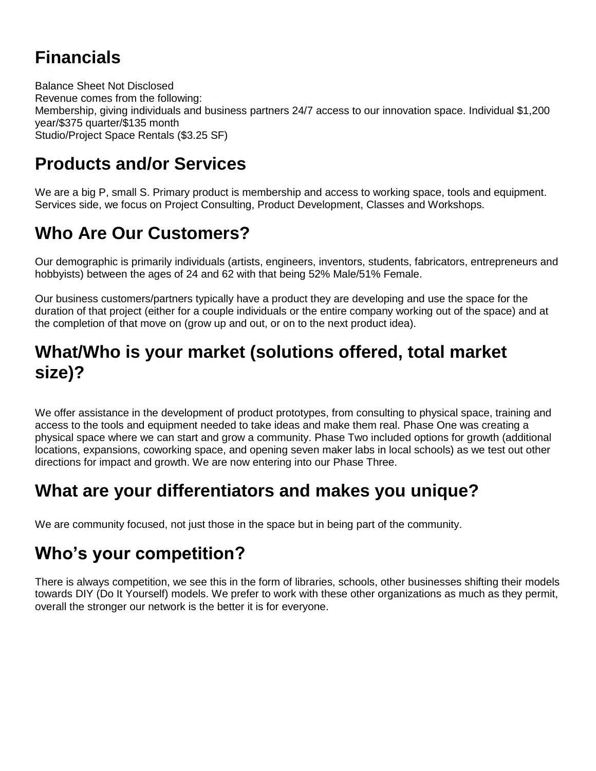# **Financials**

Balance Sheet Not Disclosed Revenue comes from the following: Membership, giving individuals and business partners 24/7 access to our innovation space. Individual \$1,200 year/\$375 quarter/\$135 month Studio/Project Space Rentals (\$3.25 SF)

# **Products and/or Services**

We are a big P, small S. Primary product is membership and access to working space, tools and equipment. Services side, we focus on Project Consulting, Product Development, Classes and Workshops.

# **Who Are Our Customers?**

Our demographic is primarily individuals (artists, engineers, inventors, students, fabricators, entrepreneurs and hobbyists) between the ages of 24 and 62 with that being 52% Male/51% Female.

Our business customers/partners typically have a product they are developing and use the space for the duration of that project (either for a couple individuals or the entire company working out of the space) and at the completion of that move on (grow up and out, or on to the next product idea).

# **What/Who is your market (solutions offered, total market size)?**

We offer assistance in the development of product prototypes, from consulting to physical space, training and access to the tools and equipment needed to take ideas and make them real. Phase One was creating a physical space where we can start and grow a community. Phase Two included options for growth (additional locations, expansions, coworking space, and opening seven maker labs in local schools) as we test out other directions for impact and growth. We are now entering into our Phase Three.

# **What are your differentiators and makes you unique?**

We are community focused, not just those in the space but in being part of the community.

# **Who's your competition?**

There is always competition, we see this in the form of libraries, schools, other businesses shifting their models towards DIY (Do It Yourself) models. We prefer to work with these other organizations as much as they permit, overall the stronger our network is the better it is for everyone.